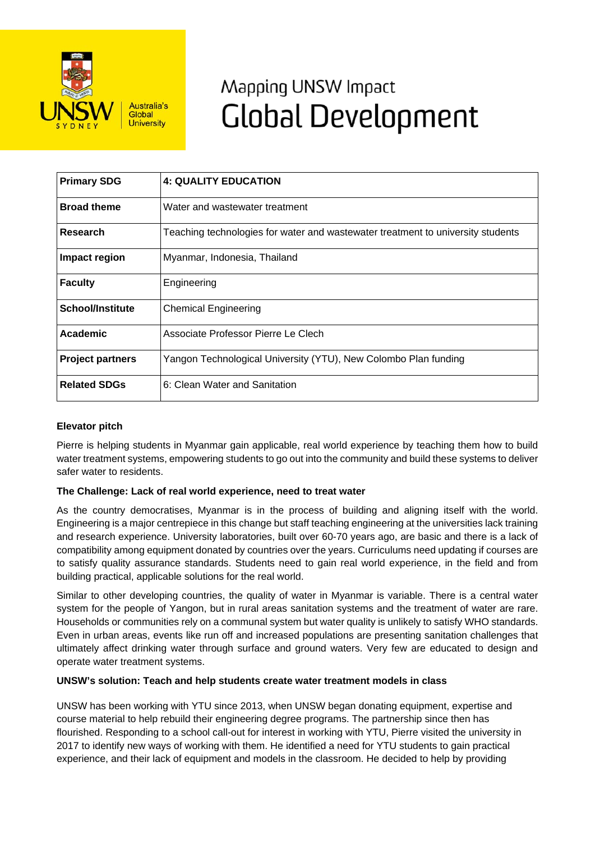

# Mapping UNSW Impact **Global Development**

| <b>Primary SDG</b>      | <b>4: QUALITY EDUCATION</b>                                                     |
|-------------------------|---------------------------------------------------------------------------------|
| <b>Broad theme</b>      | Water and wastewater treatment                                                  |
| <b>Research</b>         | Teaching technologies for water and wastewater treatment to university students |
| Impact region           | Myanmar, Indonesia, Thailand                                                    |
| <b>Faculty</b>          | Engineering                                                                     |
| <b>School/Institute</b> | <b>Chemical Engineering</b>                                                     |
| Academic                | Associate Professor Pierre Le Clech                                             |
| <b>Project partners</b> | Yangon Technological University (YTU), New Colombo Plan funding                 |
| <b>Related SDGs</b>     | 6: Clean Water and Sanitation                                                   |

## **Elevator pitch**

Pierre is helping students in Myanmar gain applicable, real world experience by teaching them how to build water treatment systems, empowering students to go out into the community and build these systems to deliver safer water to residents.

## **The Challenge: Lack of real world experience, need to treat water**

As the country democratises, Myanmar is in the process of building and aligning itself with the world. Engineering is a major centrepiece in this change but staff teaching engineering at the universities lack training and research experience. University laboratories, built over 60-70 years ago, are basic and there is a lack of compatibility among equipment donated by countries over the years. Curriculums need updating if courses are to satisfy quality assurance standards. Students need to gain real world experience, in the field and from building practical, applicable solutions for the real world.

Similar to other developing countries, the quality of water in Myanmar is variable. There is a central water system for the people of Yangon, but in rural areas sanitation systems and the treatment of water are rare. Households or communities rely on a communal system but water quality is unlikely to satisfy WHO standards. Even in urban areas, events like run off and increased populations are presenting sanitation challenges that ultimately affect drinking water through surface and ground waters. Very few are educated to design and operate water treatment systems.

### **UNSW's solution: Teach and help students create water treatment models in class**

UNSW has been working with YTU since 2013, when UNSW began donating equipment, expertise and course material to help rebuild their engineering degree programs. The partnership since then has flourished. Responding to a school call-out for interest in working with YTU, Pierre visited the university in 2017 to identify new ways of working with them. He identified a need for YTU students to gain practical experience, and their lack of equipment and models in the classroom. He decided to help by providing